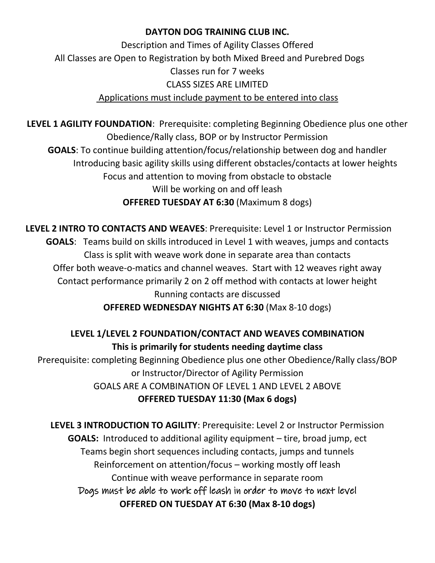### **DAYTON DOG TRAINING CLUB INC.**

Description and Times of Agility Classes Offered All Classes are Open to Registration by both Mixed Breed and Purebred Dogs Classes run for 7 weeks CLASS SIZES ARE LIMITED Applications must include payment to be entered into class

**LEVEL 1 AGILITY FOUNDATION**: Prerequisite: completing Beginning Obedience plus one other Obedience/Rally class, BOP or by Instructor Permission **GOALS**: To continue building attention/focus/relationship between dog and handler Introducing basic agility skills using different obstacles/contacts at lower heights Focus and attention to moving from obstacle to obstacle Will be working on and off leash **OFFERED TUESDAY AT 6:30** (Maximum 8 dogs)

**LEVEL 2 INTRO TO CONTACTS AND WEAVES**: Prerequisite: Level 1 or Instructor Permission **GOALS**: Teams build on skills introduced in Level 1 with weaves, jumps and contacts Class is split with weave work done in separate area than contacts Offer both weave-o-matics and channel weaves. Start with 12 weaves right away Contact performance primarily 2 on 2 off method with contacts at lower height Running contacts are discussed **OFFERED WEDNESDAY NIGHTS AT 6:30** (Max 8-10 dogs)

**LEVEL 1/LEVEL 2 FOUNDATION/CONTACT AND WEAVES COMBINATION This is primarily for students needing daytime class** Prerequisite: completing Beginning Obedience plus one other Obedience/Rally class/BOP or Instructor/Director of Agility Permission GOALS ARE A COMBINATION OF LEVEL 1 AND LEVEL 2 ABOVE

## **OFFERED TUESDAY 11:30 (Max 6 dogs)**

**LEVEL 3 INTRODUCTION TO AGILITY**: Prerequisite: Level 2 or Instructor Permission **GOALS:** Introduced to additional agility equipment – tire, broad jump, ect Teams begin short sequences including contacts, jumps and tunnels Reinforcement on attention/focus – working mostly off leash Continue with weave performance in separate room Dogs must be able to work off leash in order to move to next level **OFFERED ON TUESDAY AT 6:30 (Max 8-10 dogs)**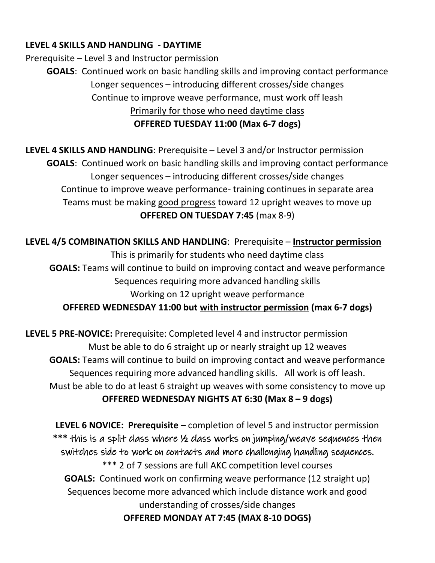### **LEVEL 4 SKILLS AND HANDLING - DAYTIME**

Prerequisite – Level 3 and Instructor permission

**GOALS**: Continued work on basic handling skills and improving contact performance Longer sequences – introducing different crosses/side changes Continue to improve weave performance, must work off leash Primarily for those who need daytime class **OFFERED TUESDAY 11:00 (Max 6-7 dogs)**

**LEVEL 4 SKILLS AND HANDLING**: Prerequisite – Level 3 and/or Instructor permission **GOALS**: Continued work on basic handling skills and improving contact performance Longer sequences – introducing different crosses/side changes Continue to improve weave performance- training continues in separate area Teams must be making good progress toward 12 upright weaves to move up **OFFERED ON TUESDAY 7:45** (max 8-9)

**LEVEL 4/5 COMBINATION SKILLS AND HANDLING**: Prerequisite – **Instructor permission** This is primarily for students who need daytime class **GOALS:** Teams will continue to build on improving contact and weave performance Sequences requiring more advanced handling skills Working on 12 upright weave performance **OFFERED WEDNESDAY 11:00 but with instructor permission (max 6-7 dogs)**

**LEVEL 5 PRE-NOVICE:** Prerequisite: Completed level 4 and instructor permission Must be able to do 6 straight up or nearly straight up 12 weaves **GOALS:** Teams will continue to build on improving contact and weave performance Sequences requiring more advanced handling skills. All work is off leash. Must be able to do at least 6 straight up weaves with some consistency to move up **OFFERED WEDNESDAY NIGHTS AT 6:30 (Max 8 – 9 dogs)**

**LEVEL 6 NOVICE: Prerequisite –** completion of level 5 and instructor permission **\*\*\*** this is a split class where ½ class works on jumping/weave sequences then switches side to work on contacts and more challenging handling sequences. \*\*\* 2 of 7 sessions are full AKC competition level courses **GOALS:** Continued work on confirming weave performance (12 straight up) Sequences become more advanced which include distance work and good understanding of crosses/side changes **OFFERED MONDAY AT 7:45 (MAX 8-10 DOGS)**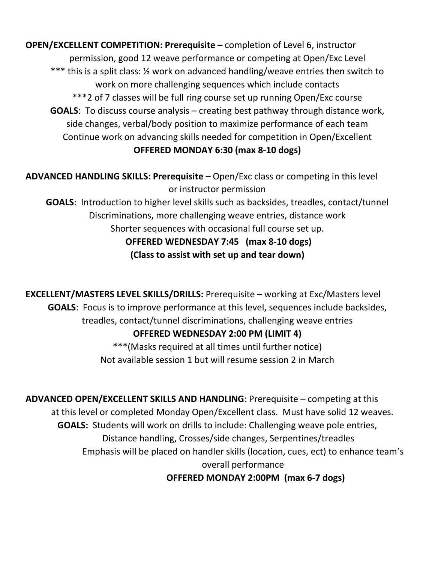**OPEN/EXCELLENT COMPETITION: Prerequisite –** completion of Level 6, instructor permission, good 12 weave performance or competing at Open/Exc Level \*\*\* this is a split class: ½ work on advanced handling/weave entries then switch to work on more challenging sequences which include contacts \*\*\*2 of 7 classes will be full ring course set up running Open/Exc course **GOALS**: To discuss course analysis – creating best pathway through distance work, side changes, verbal/body position to maximize performance of each team Continue work on advancing skills needed for competition in Open/Excellent **OFFERED MONDAY 6:30 (max 8-10 dogs)**

**ADVANCED HANDLING SKILLS: Prerequisite –** Open/Exc class or competing in this level or instructor permission

**GOALS**: Introduction to higher level skills such as backsides, treadles, contact/tunnel Discriminations, more challenging weave entries, distance work Shorter sequences with occasional full course set up. **OFFERED WEDNESDAY 7:45 (max 8-10 dogs) (Class to assist with set up and tear down)**

**EXCELLENT/MASTERS LEVEL SKILLS/DRILLS:** Prerequisite – working at Exc/Masters level **GOALS**: Focus is to improve performance at this level, sequences include backsides, treadles, contact/tunnel discriminations, challenging weave entries

## **OFFERED WEDNESDAY 2:00 PM (LIMIT 4)**

\*\*\*(Masks required at all times until further notice) Not available session 1 but will resume session 2 in March

**ADVANCED OPEN/EXCELLENT SKILLS AND HANDLING**: Prerequisite – competing at this at this level or completed Monday Open/Excellent class. Must have solid 12 weaves. **GOALS:** Students will work on drills to include: Challenging weave pole entries, Distance handling, Crosses/side changes, Serpentines/treadles Emphasis will be placed on handler skills (location, cues, ect) to enhance team's overall performance **OFFERED MONDAY 2:00PM (max 6-7 dogs)**